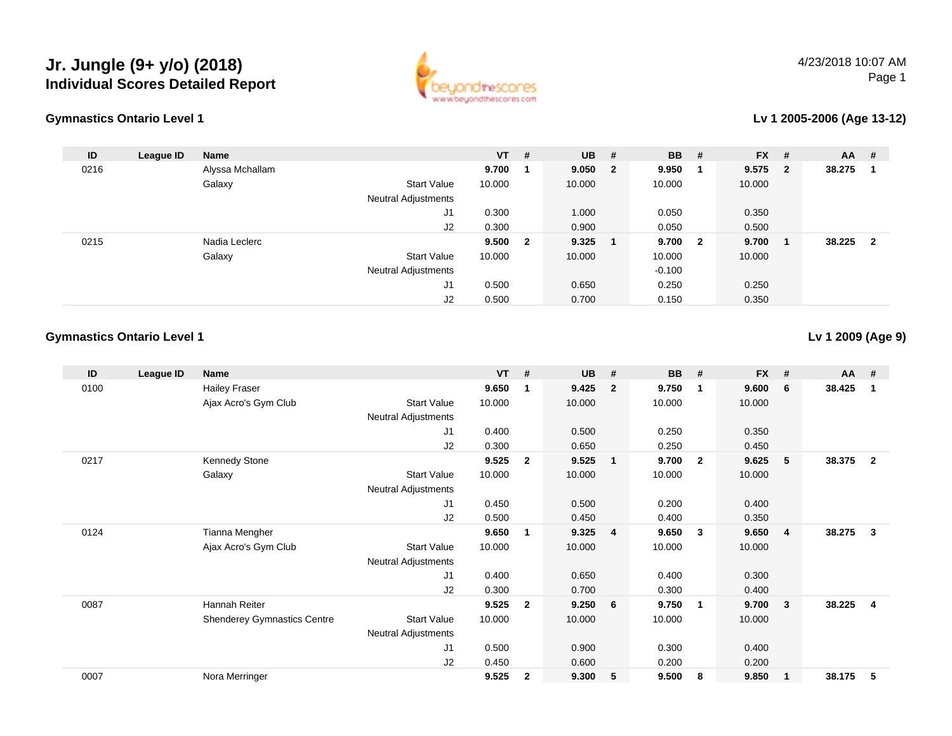



#### **Lv 1 2005-2006 (Age 13-12)**

| ID   | League ID | <b>Name</b>     |                     | $VT$ # |                | $UB$ #    | <b>BB</b> | #  | $FX$ # |                         | <b>AA</b> | #              |
|------|-----------|-----------------|---------------------|--------|----------------|-----------|-----------|----|--------|-------------------------|-----------|----------------|
| 0216 |           | Alyssa Mchallam |                     | 9.700  |                | 9.050 2   | 9.950     | -1 | 9.575  | - 2                     | 38.275    |                |
|      |           | Galaxy          | <b>Start Value</b>  | 10.000 |                | 10.000    | 10.000    |    | 10.000 |                         |           |                |
|      |           |                 | Neutral Adjustments |        |                |           |           |    |        |                         |           |                |
|      |           |                 | J1                  | 0.300  |                | 1.000     | 0.050     |    | 0.350  |                         |           |                |
|      |           |                 | J2                  | 0.300  |                | 0.900     | 0.050     |    | 0.500  |                         |           |                |
| 0215 |           | Nadia Leclerc   |                     | 9.500  | $\overline{2}$ | $9.325$ 1 | 9.700 2   |    | 9.700  | $\overline{\mathbf{1}}$ | 38.225    | $\overline{2}$ |
|      |           | Galaxy          | <b>Start Value</b>  | 10.000 |                | 10.000    | 10.000    |    | 10.000 |                         |           |                |
|      |           |                 | Neutral Adjustments |        |                |           | $-0.100$  |    |        |                         |           |                |
|      |           |                 | J1                  | 0.500  |                | 0.650     | 0.250     |    | 0.250  |                         |           |                |
|      |           |                 | J2                  | 0.500  |                | 0.700     | 0.150     |    | 0.350  |                         |           |                |
|      |           |                 |                     |        |                |           |           |    |        |                         |           |                |

#### **Gymnastics Ontario Level 1**

**Lv 1 2009 (Age 9)**

| ID   | League ID | <b>Name</b>                        |                            | <b>VT</b> | #              | <b>UB</b> | #               | <b>BB</b> | #                       | <b>FX</b> | #              | $AA$ # |                |
|------|-----------|------------------------------------|----------------------------|-----------|----------------|-----------|-----------------|-----------|-------------------------|-----------|----------------|--------|----------------|
| 0100 |           | <b>Hailey Fraser</b>               |                            | 9.650     |                | 9.425     | $\overline{2}$  | 9.750     | $\mathbf 1$             | 9.600     | 6              | 38.425 | 1              |
|      |           | Ajax Acro's Gym Club               | <b>Start Value</b>         | 10.000    |                | 10.000    |                 | 10.000    |                         | 10.000    |                |        |                |
|      |           |                                    | Neutral Adjustments        |           |                |           |                 |           |                         |           |                |        |                |
|      |           |                                    | J1                         | 0.400     |                | 0.500     |                 | 0.250     |                         | 0.350     |                |        |                |
|      |           |                                    | J <sub>2</sub>             | 0.300     |                | 0.650     |                 | 0.250     |                         | 0.450     |                |        |                |
| 0217 |           | Kennedy Stone                      |                            | 9.525     | $\overline{2}$ | 9.525     | $\blacksquare$  | 9.700     | $\overline{\mathbf{2}}$ | 9.625     | 5              | 38.375 | $\overline{2}$ |
|      |           | Galaxy                             | <b>Start Value</b>         | 10.000    |                | 10.000    |                 | 10.000    |                         | 10.000    |                |        |                |
|      |           |                                    | <b>Neutral Adjustments</b> |           |                |           |                 |           |                         |           |                |        |                |
|      |           |                                    | J1                         | 0.450     |                | 0.500     |                 | 0.200     |                         | 0.400     |                |        |                |
|      |           |                                    | J <sub>2</sub>             | 0.500     |                | 0.450     |                 | 0.400     |                         | 0.350     |                |        |                |
| 0124 |           | Tianna Mengher                     |                            | 9.650     | 1              | 9.325     | $\overline{4}$  | 9.650     | $\mathbf{3}$            | 9.650     | $\overline{4}$ | 38.275 | $\mathbf{3}$   |
|      |           | Ajax Acro's Gym Club               | <b>Start Value</b>         | 10.000    |                | 10.000    |                 | 10.000    |                         | 10.000    |                |        |                |
|      |           |                                    | Neutral Adjustments        |           |                |           |                 |           |                         |           |                |        |                |
|      |           |                                    | J1                         | 0.400     |                | 0.650     |                 | 0.400     |                         | 0.300     |                |        |                |
|      |           |                                    | J <sub>2</sub>             | 0.300     |                | 0.700     |                 | 0.300     |                         | 0.400     |                |        |                |
| 0087 |           | Hannah Reiter                      |                            | 9.525     | $\overline{2}$ | 9.250     | $6\overline{6}$ | 9.750     | $\overline{\mathbf{1}}$ | 9.700     | 3              | 38.225 | $\overline{4}$ |
|      |           | <b>Shenderey Gymnastics Centre</b> | <b>Start Value</b>         | 10.000    |                | 10.000    |                 | 10.000    |                         | 10.000    |                |        |                |
|      |           |                                    | Neutral Adjustments        |           |                |           |                 |           |                         |           |                |        |                |
|      |           |                                    | J <sub>1</sub>             | 0.500     |                | 0.900     |                 | 0.300     |                         | 0.400     |                |        |                |
|      |           |                                    | J <sub>2</sub>             | 0.450     |                | 0.600     |                 | 0.200     |                         | 0.200     |                |        |                |
| 0007 |           | Nora Merringer                     |                            | 9.525     | $\mathbf{2}$   | 9.300     | 5               | 9.500     | 8                       | 9.850     | -1             | 38.175 | 5              |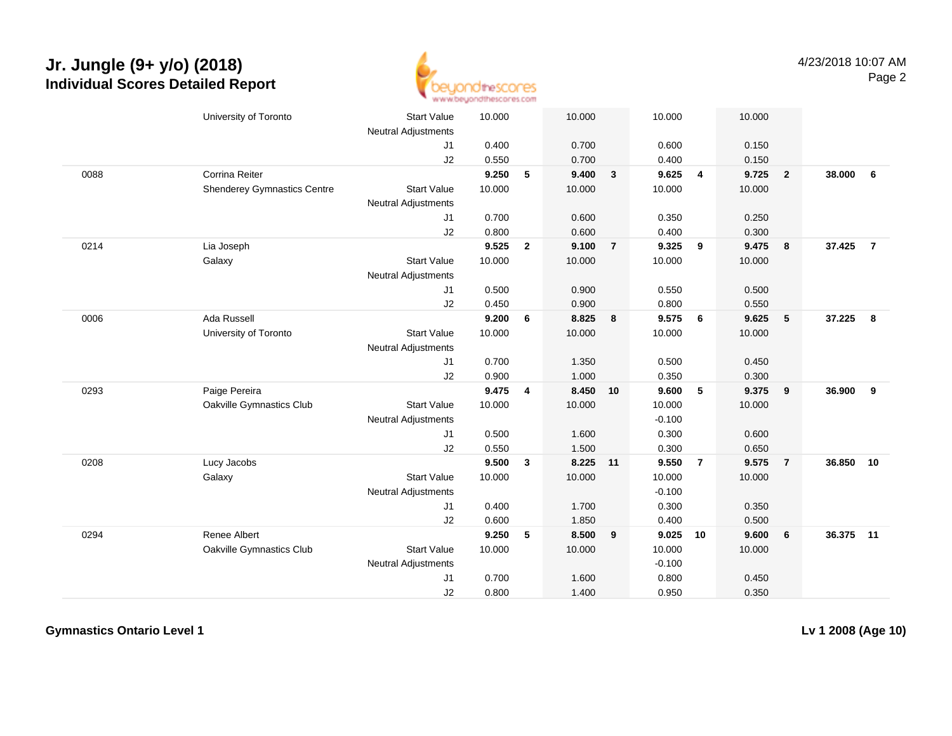

|      | University of Toronto              | <b>Start Value</b>         | 10.000 |                | 10.000 |                | 10.000   |                | 10.000 |                         |           |                |
|------|------------------------------------|----------------------------|--------|----------------|--------|----------------|----------|----------------|--------|-------------------------|-----------|----------------|
|      |                                    | <b>Neutral Adjustments</b> |        |                |        |                |          |                |        |                         |           |                |
|      |                                    | J <sub>1</sub>             | 0.400  |                | 0.700  |                | 0.600    |                | 0.150  |                         |           |                |
|      |                                    | J2                         | 0.550  |                | 0.700  |                | 0.400    |                | 0.150  |                         |           |                |
| 0088 | Corrina Reiter                     |                            | 9.250  | 5              | 9.400  | $\mathbf{3}$   | 9.625    | 4              | 9.725  | $\overline{\mathbf{2}}$ | 38,000    | 6              |
|      | <b>Shenderey Gymnastics Centre</b> | <b>Start Value</b>         | 10.000 |                | 10.000 |                | 10.000   |                | 10.000 |                         |           |                |
|      |                                    | <b>Neutral Adjustments</b> |        |                |        |                |          |                |        |                         |           |                |
|      |                                    | J1                         | 0.700  |                | 0.600  |                | 0.350    |                | 0.250  |                         |           |                |
|      |                                    | J2                         | 0.800  |                | 0.600  |                | 0.400    |                | 0.300  |                         |           |                |
| 0214 | Lia Joseph                         |                            | 9.525  | $\overline{2}$ | 9.100  | $\overline{7}$ | 9.325    | 9              | 9.475  | $\overline{\mathbf{8}}$ | 37.425    | $\overline{7}$ |
|      | Galaxy                             | <b>Start Value</b>         | 10.000 |                | 10.000 |                | 10.000   |                | 10.000 |                         |           |                |
|      |                                    | <b>Neutral Adjustments</b> |        |                |        |                |          |                |        |                         |           |                |
|      |                                    | J <sub>1</sub>             | 0.500  |                | 0.900  |                | 0.550    |                | 0.500  |                         |           |                |
|      |                                    | J2                         | 0.450  |                | 0.900  |                | 0.800    |                | 0.550  |                         |           |                |
| 0006 | Ada Russell                        |                            | 9.200  | 6              | 8.825  | 8              | 9.575    | 6              | 9.625  | 5                       | 37.225    | $\bf{8}$       |
|      | University of Toronto              | <b>Start Value</b>         | 10.000 |                | 10.000 |                | 10.000   |                | 10.000 |                         |           |                |
|      |                                    | <b>Neutral Adjustments</b> |        |                |        |                |          |                |        |                         |           |                |
|      |                                    | J1                         | 0.700  |                | 1.350  |                | 0.500    |                | 0.450  |                         |           |                |
|      |                                    | J2                         | 0.900  |                | 1.000  |                | 0.350    |                | 0.300  |                         |           |                |
| 0293 | Paige Pereira                      |                            | 9.475  | 4              | 8.450  | 10             | 9.600    | 5              | 9.375  | 9                       | 36.900    | 9              |
|      | Oakville Gymnastics Club           | <b>Start Value</b>         | 10.000 |                | 10.000 |                | 10.000   |                | 10.000 |                         |           |                |
|      |                                    | <b>Neutral Adjustments</b> |        |                |        |                | $-0.100$ |                |        |                         |           |                |
|      |                                    | J1                         | 0.500  |                | 1.600  |                | 0.300    |                | 0.600  |                         |           |                |
|      |                                    | J2                         | 0.550  |                | 1.500  |                | 0.300    |                | 0.650  |                         |           |                |
| 0208 | Lucy Jacobs                        |                            | 9.500  | $\mathbf{3}$   | 8.225  | 11             | 9.550    | $\overline{7}$ | 9.575  | $\overline{7}$          | 36.850    | 10             |
|      | Galaxy                             | <b>Start Value</b>         | 10.000 |                | 10.000 |                | 10.000   |                | 10.000 |                         |           |                |
|      |                                    | <b>Neutral Adjustments</b> |        |                |        |                | $-0.100$ |                |        |                         |           |                |
|      |                                    | J1                         | 0.400  |                | 1.700  |                | 0.300    |                | 0.350  |                         |           |                |
|      |                                    | J2                         | 0.600  |                | 1.850  |                | 0.400    |                | 0.500  |                         |           |                |
| 0294 | Renee Albert                       |                            | 9.250  | 5              | 8.500  | 9              | 9.025    | 10             | 9.600  | $6\phantom{1}6$         | 36.375 11 |                |
|      | Oakville Gymnastics Club           | <b>Start Value</b>         | 10.000 |                | 10.000 |                | 10.000   |                | 10.000 |                         |           |                |
|      |                                    | <b>Neutral Adjustments</b> |        |                |        |                | $-0.100$ |                |        |                         |           |                |
|      |                                    | J1                         | 0.700  |                | 1.600  |                | 0.800    |                | 0.450  |                         |           |                |
|      |                                    | J2                         | 0.800  |                | 1.400  |                | 0.950    |                | 0.350  |                         |           |                |

**Gymnastics Ontario Level 1**

**Lv 1 2008 (Age 10)**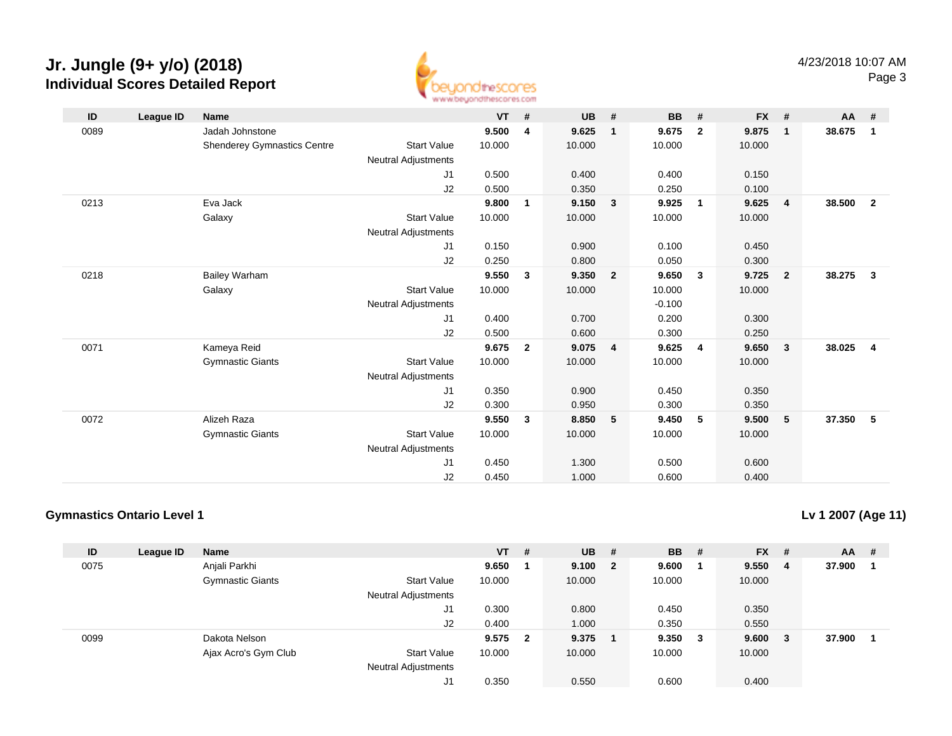

| ID   | League ID | <b>Name</b>                        |                            | $VT$ # |                | <b>UB</b> | #              | <b>BB</b> | #                       | $FX$ # |                         | AA     | #              |
|------|-----------|------------------------------------|----------------------------|--------|----------------|-----------|----------------|-----------|-------------------------|--------|-------------------------|--------|----------------|
| 0089 |           | Jadah Johnstone                    |                            | 9.500  | 4              | 9.625     | $\mathbf{1}$   | 9.675     | $\mathbf{2}$            | 9.875  | $\overline{\mathbf{1}}$ | 38.675 | $\overline{1}$ |
|      |           | <b>Shenderey Gymnastics Centre</b> | <b>Start Value</b>         | 10.000 |                | 10.000    |                | 10.000    |                         | 10.000 |                         |        |                |
|      |           |                                    | <b>Neutral Adjustments</b> |        |                |           |                |           |                         |        |                         |        |                |
|      |           |                                    | J1                         | 0.500  |                | 0.400     |                | 0.400     |                         | 0.150  |                         |        |                |
|      |           |                                    | J2                         | 0.500  |                | 0.350     |                | 0.250     |                         | 0.100  |                         |        |                |
| 0213 |           | Eva Jack                           |                            | 9.800  | 1              | 9.150     | 3              | 9.925     | $\overline{1}$          | 9.625  | $\overline{4}$          | 38.500 | $\overline{2}$ |
|      |           | Galaxy                             | <b>Start Value</b>         | 10.000 |                | 10.000    |                | 10.000    |                         | 10.000 |                         |        |                |
|      |           |                                    | <b>Neutral Adjustments</b> |        |                |           |                |           |                         |        |                         |        |                |
|      |           |                                    | J1                         | 0.150  |                | 0.900     |                | 0.100     |                         | 0.450  |                         |        |                |
|      |           |                                    | J2                         | 0.250  |                | 0.800     |                | 0.050     |                         | 0.300  |                         |        |                |
| 0218 |           | <b>Bailey Warham</b>               |                            | 9.550  | $\mathbf{3}$   | 9.350     | $\overline{2}$ | 9.650     | $\overline{\mathbf{3}}$ | 9.725  | $\overline{\mathbf{2}}$ | 38.275 | $\mathbf{3}$   |
|      |           | Galaxy                             | <b>Start Value</b>         | 10.000 |                | 10.000    |                | 10.000    |                         | 10.000 |                         |        |                |
|      |           |                                    | <b>Neutral Adjustments</b> |        |                |           |                | $-0.100$  |                         |        |                         |        |                |
|      |           |                                    | J1                         | 0.400  |                | 0.700     |                | 0.200     |                         | 0.300  |                         |        |                |
|      |           |                                    | J2                         | 0.500  |                | 0.600     |                | 0.300     |                         | 0.250  |                         |        |                |
| 0071 |           | Kameya Reid                        |                            | 9.675  | $\overline{2}$ | 9.075     | $\overline{4}$ | 9.625     | $\overline{4}$          | 9.650  | $\overline{\mathbf{3}}$ | 38.025 | $\overline{4}$ |
|      |           | <b>Gymnastic Giants</b>            | <b>Start Value</b>         | 10.000 |                | 10.000    |                | 10.000    |                         | 10.000 |                         |        |                |
|      |           |                                    | <b>Neutral Adjustments</b> |        |                |           |                |           |                         |        |                         |        |                |
|      |           |                                    | J1                         | 0.350  |                | 0.900     |                | 0.450     |                         | 0.350  |                         |        |                |
|      |           |                                    | J <sub>2</sub>             | 0.300  |                | 0.950     |                | 0.300     |                         | 0.350  |                         |        |                |
| 0072 |           | Alizeh Raza                        |                            | 9.550  | $\mathbf{3}$   | 8.850     | 5              | 9.450     | 5                       | 9.500  | 5                       | 37.350 | - 5            |
|      |           | <b>Gymnastic Giants</b>            | <b>Start Value</b>         | 10.000 |                | 10.000    |                | 10.000    |                         | 10.000 |                         |        |                |
|      |           |                                    | <b>Neutral Adjustments</b> |        |                |           |                |           |                         |        |                         |        |                |
|      |           |                                    | J1                         | 0.450  |                | 1.300     |                | 0.500     |                         | 0.600  |                         |        |                |
|      |           |                                    | J2                         | 0.450  |                | 1.000     |                | 0.600     |                         | 0.400  |                         |        |                |

#### **Gymnastics Ontario Level 1**

**Lv 1 2007 (Age 11)**

| ID   | League ID | <b>Name</b>             |                            | $VT$ #  | <b>UB</b> | #                       | <b>BB</b> | #   | <b>FX</b> | #  | $AA$ # |  |
|------|-----------|-------------------------|----------------------------|---------|-----------|-------------------------|-----------|-----|-----------|----|--------|--|
| 0075 |           | Anjali Parkhi           |                            | 9.650   | 9.100     | $\overline{\mathbf{2}}$ | 9.600     |     | 9.550     | -4 | 37.900 |  |
|      |           | <b>Gymnastic Giants</b> | Start Value                | 10.000  | 10.000    |                         | 10.000    |     | 10.000    |    |        |  |
|      |           |                         | <b>Neutral Adjustments</b> |         |           |                         |           |     |           |    |        |  |
|      |           |                         | J1                         | 0.300   | 0.800     |                         | 0.450     |     | 0.350     |    |        |  |
|      |           |                         | J2                         | 0.400   | 1.000     |                         | 0.350     |     | 0.550     |    |        |  |
| 0099 |           | Dakota Nelson           |                            | 9.575 2 | 9.375     |                         | 9.350     | - 3 | 9.600     | -3 | 37.900 |  |
|      |           | Ajax Acro's Gym Club    | <b>Start Value</b>         | 10.000  | 10.000    |                         | 10.000    |     | 10.000    |    |        |  |
|      |           |                         | <b>Neutral Adjustments</b> |         |           |                         |           |     |           |    |        |  |
|      |           |                         | J1                         | 0.350   | 0.550     |                         | 0.600     |     | 0.400     |    |        |  |